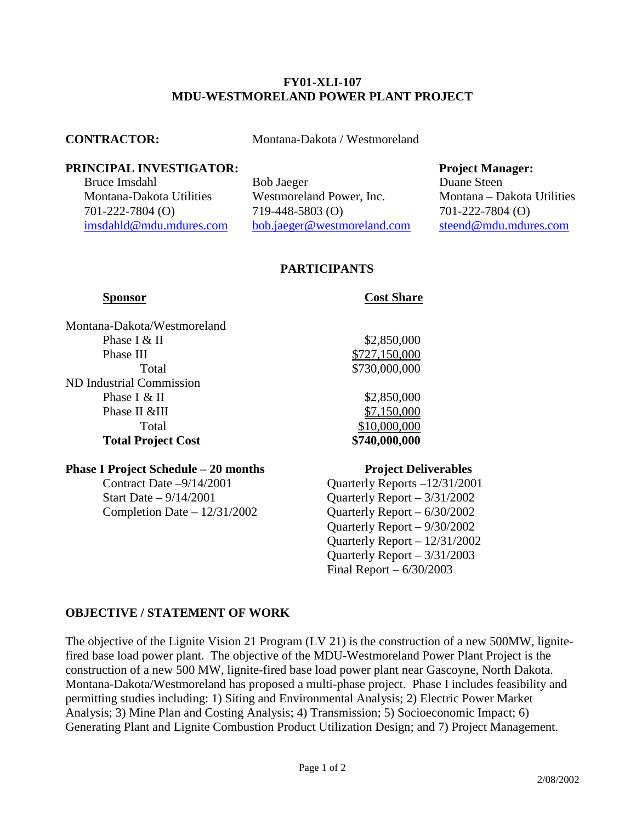### **FY01-XLI-107 MDU-WESTMORELAND POWER PLANT PROJECT**

**CONTRACTOR:** Montana-Dakota / Westmoreland

## **PRINCIPAL INVESTIGATOR:** Project Manager:

Bruce Imsdahl Bob Jaeger Duane Steen Montana-Dakota Utilities Westmoreland Power, Inc. Montana – Dakota Utilities 701-222-7804 (O) 719-448-5803 (O) 701-222-7804 (O) [imsdahld@mdu.mdures.com](mailto:imsdahld@mdu.mdures.com) [bob.jaeger@westmoreland.com](mailto:bob.jaeger@westmoreland.com) [steend@mdu.mdures.com](mailto:steend@mdu.mdures.com)

# **PARTICIPANTS**

**Sponsor** Cost Share

| Montana-Dakota/Westmoreland |               |
|-----------------------------|---------------|
| Phase I & II                | \$2,850,000   |
| Phase III                   | \$727,150,000 |
| Total                       | \$730,000,000 |
| ND Industrial Commission    |               |
| Phase I $&$ II              | \$2,850,000   |
| Phase II &III               | \$7,150,000   |
| Total                       | \$10,000,000  |
| <b>Total Project Cost</b>   | \$740,000,000 |

### **Phase I Project Schedule – 20 months Project Deliverables**

Start Date – 9/14/2001 Quarterly Report – 3/31/2002 Completion Date  $-12/31/2002$  Quarterly Report  $-6/30/2002$ 

Contract Date –9/14/2001 Quarterly Reports –12/31/2001 Quarterly Report – 9/30/2002 Quarterly Report – 12/31/2002 Quarterly Report – 3/31/2003 Final Report – 6/30/2003

## **OBJECTIVE / STATEMENT OF WORK**

The objective of the Lignite Vision 21 Program (LV 21) is the construction of a new 500MW, lignitefired base load power plant. The objective of the MDU-Westmoreland Power Plant Project is the construction of a new 500 MW, lignite-fired base load power plant near Gascoyne, North Dakota. Montana-Dakota/Westmoreland has proposed a multi-phase project. Phase I includes feasibility and permitting studies including: 1) Siting and Environmental Analysis; 2) Electric Power Market Analysis; 3) Mine Plan and Costing Analysis; 4) Transmission; 5) Socioeconomic Impact; 6) Generating Plant and Lignite Combustion Product Utilization Design; and 7) Project Management.